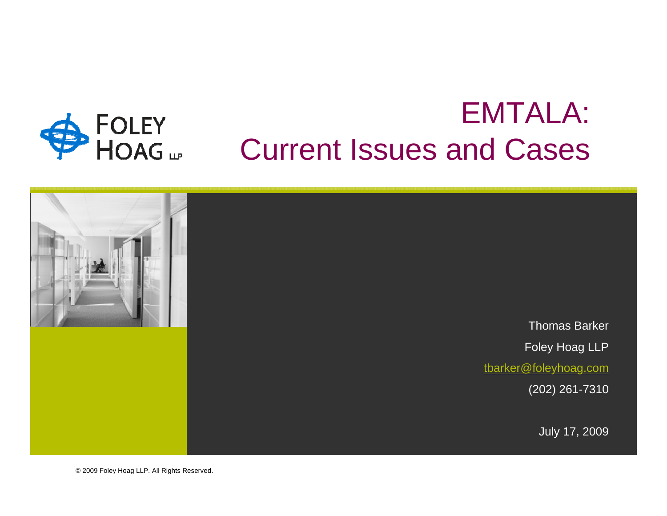

# EMTALA: Current Issues and Cases



© 2009 Foley Hoag LLP. All Rights Reserved.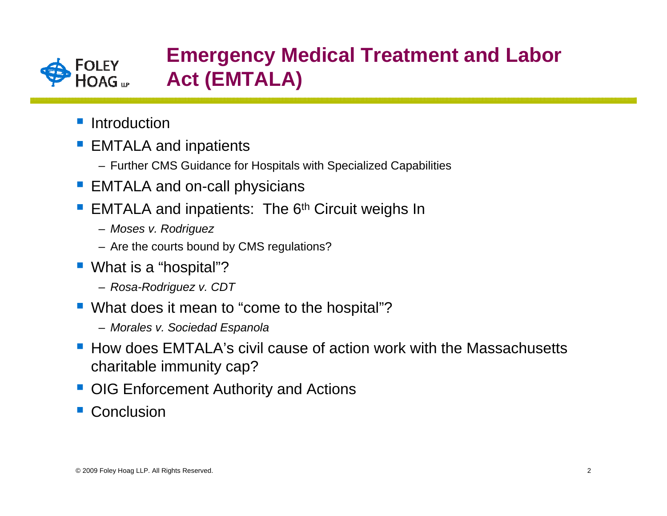

### **Emergency Medical Treatment and Labor Act (EMTALA)**

- **I**ntroduction
- **Service Service**  EMTALA and inpatients
	- Further CMS Guidance for Hospitals with Specialized Capabilities
- EMTALA and on-call physicians
- **Service Service** EMTALA and inpatients: The  $6<sup>th</sup>$  Circuit weighs In
	- *Moses v. Rodriguez*
	- Are the courts bound by CMS regulations?
- What is a "hospital"?
	- *Rosa-Rodriguez v. CDT*
- What does it mean to "come to the hospital"?
	- *Morales v. Sociedad Espanola*
- How does EMTALA's civil cause of action work with the Massachusetts charitable immunity cap?
- **OIG Enforcement Authority and Actions**
- Conclusion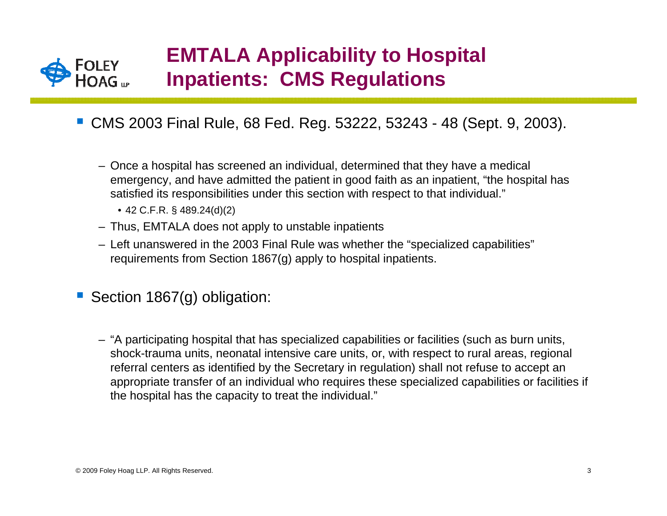

## **EMTALA Applicability to Hospital Inpatients: CMS Regulations**

- CMS 2003 Final Rule, 68 Fed. Reg. 53222, 53243 48 (Sept. 9, 2003).
	- Once a hospital has screened an individual, determined that they have a medical emergency, and have admitted the patient in good faith as an inpatient, "the hospital has satisfied its responsibilities under this section with respect to that individual."
		- 42 C.F.R. § 489.24(d)(2)
	- Thus, EMTALA does not apply to unstable inpatients
	- Left unanswered in the 2003 Final Rule was whether the "specialized capabilities" requirements from Section 1867(g) apply to hospital inpatients.
- Section 1867(g) obligation:
	- "A participating hospital that has specialized capabilities or facilities (such as burn units, shock-trauma units, neonatal intensive care units, or, with respect to rural areas, regional referral centers as identified by the Secretary in regulation) shall not refuse to accept an appropriate transfer of an individual who requires these specialized capabilities or facilities if the hospital has the capacity to treat the individual."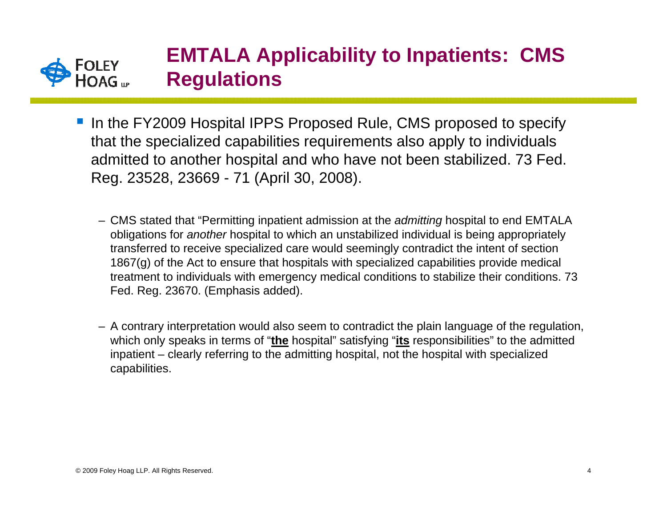

- In the FY2009 Hospital IPPS Proposed Rule, CMS proposed to specify that the specialized capabilities requirements also apply to individuals admitted to another hospital and who have not been stabilized. 73 Fed. Reg. 23528, 23669 - 71 (April 30, 2008).
	- CMS stated that "Permitting inpatient admission at the *admitting* hospital to end EMTALA obligations for *another* hospital to which an unstabilized individual is being appropriately transferred to receive specialized care would seemingly contradict the intent of section 1867(g) of the Act to ensure that hospitals with specialized capabilities provide medical treatment to individuals with emergency medical conditions to stabilize their conditions. 73 Fed. Reg. 23670. (Emphasis added).
	- A contrary interpretation would also seem to contradict the plain language of the regulation, which only speaks in terms of "**the** hospital" satisfying "**its** responsibilities" to the admitted inpatient – clearly referring to the admitting hospital, not the hospital with specialized capabilities.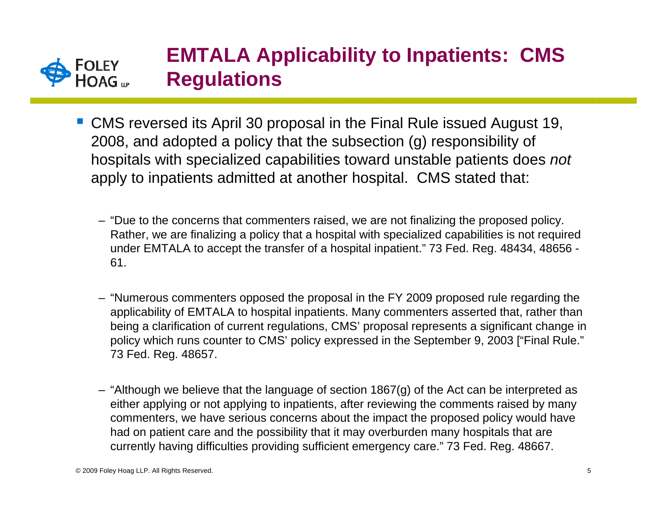

## **EMTALA Applicability to Inpatients: CMS Regulations**

- CMS reversed its April 30 proposal in the Final Rule issued August 19, 2008, and adopted a policy that the subsection (g) responsibility of hospitals with specialized capabilities toward unstable patients does *not* apply to inpatients admitted at another hospital. CMS stated that:
	- "Due to the concerns that commenters raised, we are not finalizing the proposed policy. Rather, we are finalizing a policy that a hospital with specialized capabilities is not required under EMTALA to accept the transfer of a hospital inpatient." 73 Fed. Reg. 48434, 48656 - 61.
	- "Numerous commenters opposed the proposal in the FY 2009 proposed rule regarding the applicability of EMTALA to hospital inpatients. Many commenters asserted that, rather than being a clarification of current regulations, CMS' proposal represents a significant change in policy which runs counter to CMS' policy expressed in the September 9, 2003 ["Final Rule." 73 Fed. Reg. 48657.
	- "Although we believe that the language of section 1867(g) of the Act can be interpreted as either applying or not applying to inpatients, after reviewing the comments raised by many commenters, we have serious concerns about the impact the proposed policy would have had on patient care and the possibility that it may overburden many hospitals that are currently having difficulties providing sufficient emergency care." 73 Fed. Reg. 48667.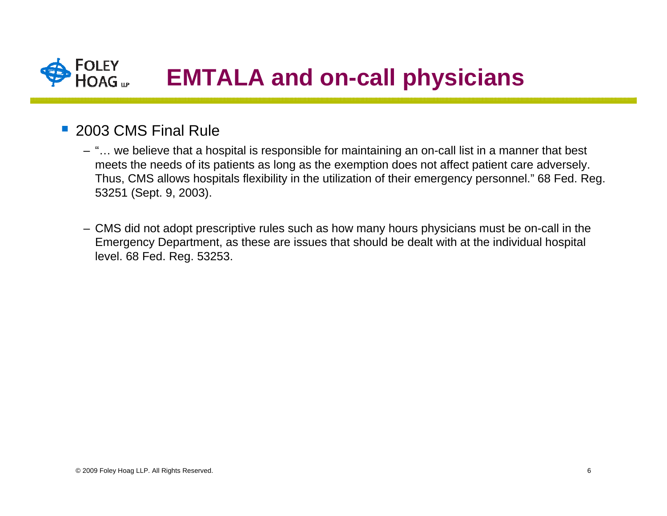

### ■ 2003 CMS Final Rule

- "… we believe that a hospital is responsible for maintaining an on-call list in a manner that best meets the needs of its patients as long as the exemption does not affect patient care adversely. Thus, CMS allows hospitals flexibility in the utilization of their emergency personnel." 68 Fed. Reg. 53251 (Sept. 9, 2003).
- CMS did not adopt prescriptive rules such as how many hours physicians must be on-call in the Emergency Department, as these are issues that should be dealt with at the individual hospital level. 68 Fed. Reg. 53253.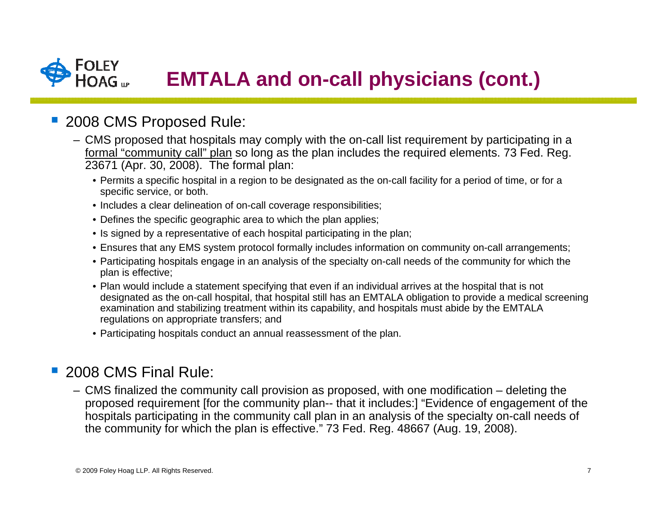### **FOLEY EMTALA and on-call physicians (cont.)**

### **2008 CMS Proposed Rule:**

- CMS proposed that hospitals may comply with the on-call list requirement by participating in a formal "community call" plan so long as the plan includes the required elements. 73 Fed. Reg. 23671 (Apr. 30, 2008). The formal plan:
	- Permits a specific hospital in a region to be designated as the on-call facility for a period of time, or for a specific service, or both.
	- Includes a clear delineation of on-call coverage responsibilities;
	- Defines the specific geographic area to which the plan applies;
	- Is signed by a representative of each hospital participating in the plan;
	- Ensures that any EMS system protocol formally includes information on community on-call arrangements;
	- Participating hospitals engage in an analysis of the specialty on-call needs of the community for which the plan is effective;
	- Plan would include a statement specifying that even if an individual arrives at the hospital that is not designated as the on-call hospital, that hospital still has an EMTALA obligation to provide a medical screening examination and stabilizing treatment within its capability, and hospitals must abide by the EMTALA regulations on appropriate transfers; and
	- Participating hospitals conduct an annual reassessment of the plan.

#### $\mathcal{L}_{\mathcal{A}}$ 2008 CMS Final Rule:

– CMS finalized the community call provision as proposed, with one modification – deleting the proposed requirement [for the community plan-- that it includes:] "Evidence of engagement of the hospitals participating in the community call plan in an analysis of the specialty on-call needs of the community for which the plan is effective." 73 Fed. Reg. 48667 (Aug. 19, 2008).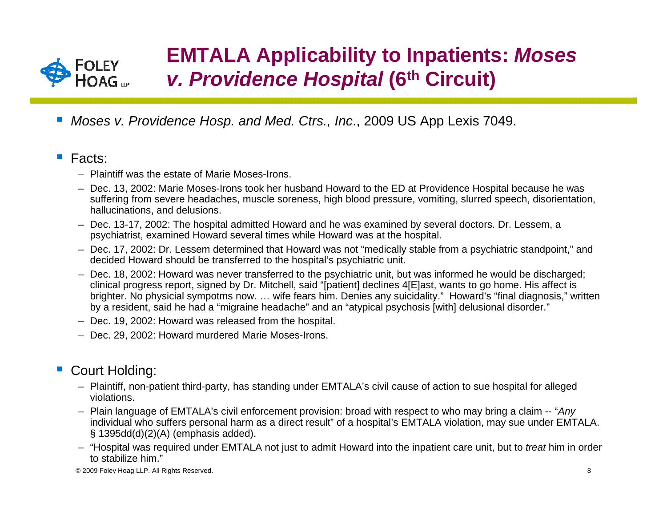

## **EMTALA Applicability to Inpatients:** *Moses v. Providence Hospital* **(6th Circuit)**

*Moses v. Providence Hosp. and Med. Ctrs., Inc*., 2009 US App Lexis 7049.

#### $\mathcal{L}^{\mathcal{L}}$ Facts:

- Plaintiff was the estate of Marie Moses-Irons.
- Dec. 13, 2002: Marie Moses-Irons took her husband Howard to the ED at Providence Hospital because he was suffering from severe headaches, muscle soreness, high blood pressure, vomiting, slurred speech, disorientation, hallucinations, and delusions.
- Dec. 13-17, 2002: The hospital admitted Howard and he was examined by several doctors. Dr. Lessem, a psychiatrist, examined Howard several times while Howard was at the hospital.
- Dec. 17, 2002: Dr. Lessem determined that Howard was not "medically stable from a psychiatric standpoint," and decided Howard should be transferred to the hospital's psychiatric unit.
- Dec. 18, 2002: Howard was never transferred to the psychiatric unit, but was informed he would be discharged; clinical progress report, signed by Dr. Mitchell, said "[patient] declines 4[E]ast, wants to go home. His affect is brighter. No physicial sympotms now. … wife fears him. Denies any suicidality." Howard's "final diagnosis," written by a resident, said he had a "migraine headache" and an "atypical psychosis [with] delusional disorder."
- Dec. 19, 2002: Howard was released from the hospital.
- Dec. 29, 2002: Howard murdered Marie Moses-Irons.

#### Court Holding:

- Plaintiff, non-patient third-party, has standing under EMTALA's civil cause of action to sue hospital for alleged violations.
- Plain language of EMTALA's civil enforcement provision: broad with respect to who may bring a claim -- "*Any* individual who suffers personal harm as a direct result" of a hospital's EMTALA violation, may sue under EMTALA. § 1395dd(d)(2)(A) (emphasis added).
- "Hospital was required under EMTALA not just to admit Howard into the inpatient care unit, but to *treat* him in order to stabilize him."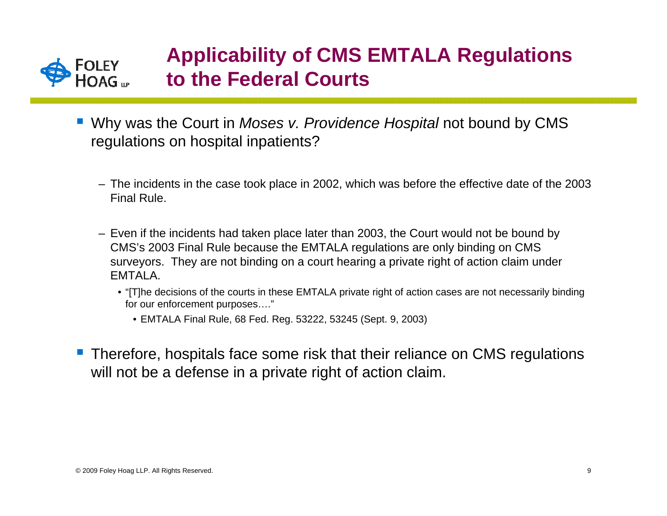

## **Applicability of CMS EMTALA Regulations to the Federal Courts**

- Why was the Court in *Moses v. Providence Hospital* not bound by CMS regulations on hospital inpatients?
	- The incidents in the case took place in 2002, which was before the effective date of the 2003 Final Rule.
	- Even if the incidents had taken place later than 2003, the Court would not be bound by CMS's 2003 Final Rule because the EMTALA regulations are only binding on CMS surveyors. They are not binding on a court hearing a private right of action claim under EMTALA.
		- "[T]he decisions of the courts in these EMTALA private right of action cases are not necessarily binding for our enforcement purposes…."
			- EMTALA Final Rule, 68 Fed. Reg. 53222, 53245 (Sept. 9, 2003)
- **Therefore, hospitals face some risk that their reliance on CMS regulations** will not be a defense in a private right of action claim.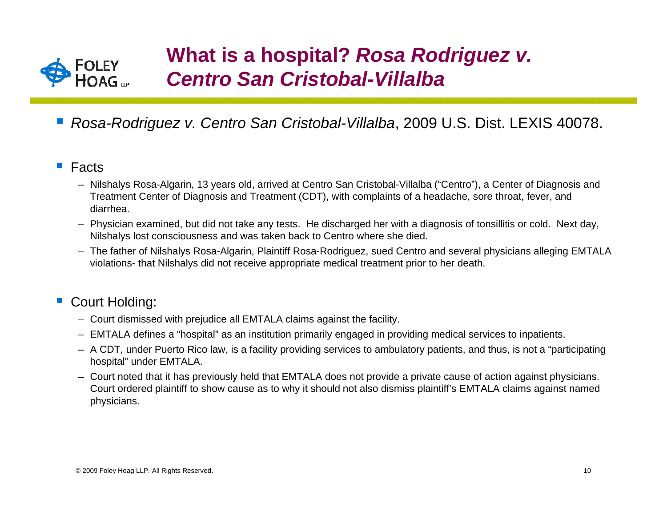

- *Rosa-Rodriguez v. Centro San Cristobal-Villalba*, 2009 U.S. Dist. LEXIS 40078.
- $\mathcal{L}_{\mathcal{A}}$  Facts
	- Nilshalys Rosa-Algarin, 13 years old, arrived at Centro San Cristobal-Villalba ("Centro"), a Center of Diagnosis and Treatment Center of Diagnosis and Treatment (CDT), with complaints of a headache, sore throat, fever, and diarrhea.
	- Physician examined, but did not take any tests. He discharged her with a diagnosis of tonsillitis or cold. Next day, Nilshalys lost consciousness and was taken back to Centro where she died.
	- The father of Nilshalys Rosa-Algarin, Plaintiff Rosa-Rodriguez, sued Centro and several physicians alleging EMTALA violations- that Nilshalys did not receive appropriate medical treatment prior to her death.

### Court Holding:

- Court dismissed with prejudice all EMTALA claims against the facility.
- EMTALA defines a "hospital" as an institution primarily engaged in providing medical services to inpatients.
- A CDT, under Puerto Rico law, is a facility providing services to ambulatory patients, and thus, is not a "participating hospital" under EMTALA.
- Court noted that it has previously held that EMTALA does not provide a private cause of action against physicians. Court ordered plaintiff to show cause as to why it should not also dismiss plaintiff's EMTALA claims against named physicians.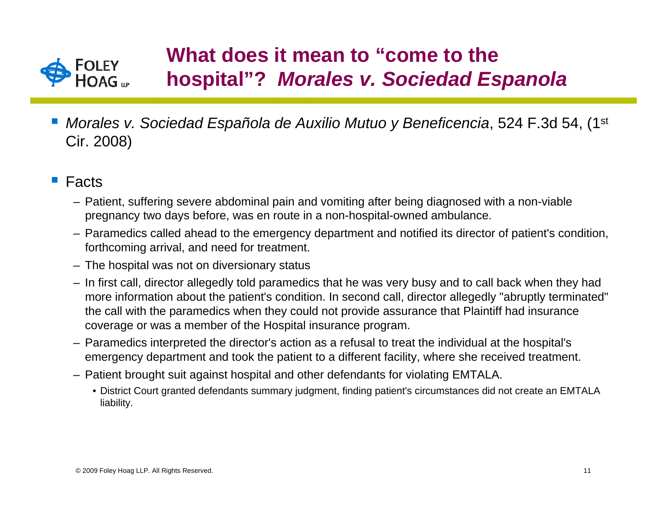

## **What does it mean to "come to the hospital"?** *Morales v. Sociedad Espanola*

- *Morales v. Sociedad Española de Auxilio Mutuo y Beneficencia*, 524 F.3d 54, (1st Cir. 2008)
- $\mathcal{L}_{\mathcal{A}}$  Facts
	- Patient, suffering severe abdominal pain and vomiting after being diagnosed with a non-viable pregnancy two days before, was en route in a non-hospital-owned ambulance.
	- Paramedics called ahead to the emergency department and notified its director of patient's condition, forthcoming arrival, and need for treatment.
	- The hospital was not on diversionary status
	- In first call, director allegedly told paramedics that he was very busy and to call back when they had more information about the patient's condition. In second call, director allegedly "abruptly terminated" the call with the paramedics when they could not provide assurance that Plaintiff had insurance coverage or was a member of the Hospital insurance program.
	- Paramedics interpreted the director's action as a refusal to treat the individual at the hospital's emergency department and took the patient to a different facility, where she received treatment.
	- Patient brought suit against hospital and other defendants for violating EMTALA.
		- District Court granted defendants summary judgment, finding patient's circumstances did not create an EMTALA liability.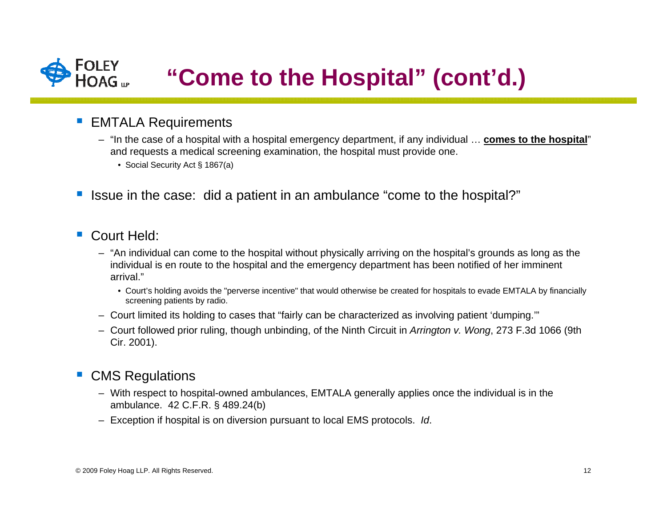

#### $\mathcal{L}_{\text{eff}}$ EMTALA Requirements

- "In the case of a hospital with a hospital emergency department, if any individual … **comes to the hospital**" and requests a medical screening examination, the hospital must provide one.
	- Social Security Act § 1867(a)
- Issue in the case: did a patient in an ambulance "come to the hospital?"
- Court Held:
	- "An individual can come to the hospital without physically arriving on the hospital's grounds as long as the individual is en route to the hospital and the emergency department has been notified of her imminent arrival."
		- Court's holding avoids the "perverse incentive" that would otherwise be created for hospitals to evade EMTALA by financially screening patients by radio.
	- Court limited its holding to cases that "fairly can be characterized as involving patient 'dumping.'"
	- Court followed prior ruling, though unbinding, of the Ninth Circuit in *Arrington v. Wong*, 273 F.3d 1066 (9th Cir. 2001).

### CMS Regulations

- With respect to hospital-owned ambulances, EMTALA generally applies once the individual is in the ambulance. 42 C.F.R. § 489.24(b)
- Exception if hospital is on diversion pursuant to local EMS protocols. *Id*.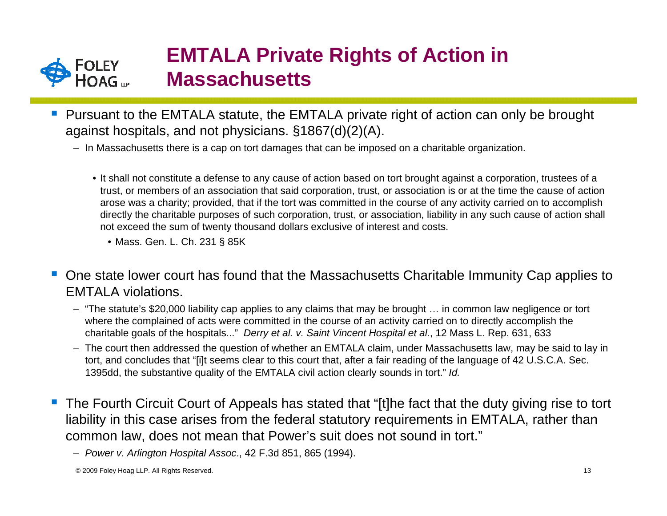

## **EMTALA Private Rights of Action in Massachusetts**

- Pursuant to the EMTALA statute, the EMTALA private right of action can only be brought against hospitals, and not physicians. §1867(d)(2)(A).
	- In Massachusetts there is a cap on tort damages that can be imposed on a charitable organization.
		- It shall not constitute a defense to any cause of action based on tort brought against a corporation, trustees of a trust, or members of an association that said corporation, trust, or association is or at the time the cause of action arose was a charity; provided, that if the tort was committed in the course of any activity carried on to accomplish directly the charitable purposes of such corporation, trust, or association, liability in any such cause of action shall not exceed the sum of twenty thousand dollars exclusive of interest and costs.
			- Mass. Gen. L. Ch. 231 § 85K
- $\mathcal{L}_{\mathrm{in}}$  One state lower court has found that the Massachusetts Charitable Immunity Cap applies to EMTALA violations.
	- "The statute's \$20,000 liability cap applies to any claims that may be brought … in common law negligence or tort where the complained of acts were committed in the course of an activity carried on to directly accomplish the charitable goals of the hospitals..." *Derry et al. v. Saint Vincent Hospital et al*., 12 Mass L. Rep. 631, 633
	- The court then addressed the question of whether an EMTALA claim, under Massachusetts law, may be said to lay in tort, and concludes that "[i]t seems clear to this court that, after a fair reading of the language of 42 U.S.C.A. Sec. 1395dd, the substantive quality of the EMTALA civil action clearly sounds in tort." *Id.*
- The Fourth Circuit Court of Appeals has stated that "[t]he fact that the duty giving rise to tort liability in this case arises from the federal statutory requirements in EMTALA, rather than common law, does not mean that Power's suit does not sound in tort."

– *Power v. Arlington Hospital Assoc*., 42 F.3d 851, 865 (1994).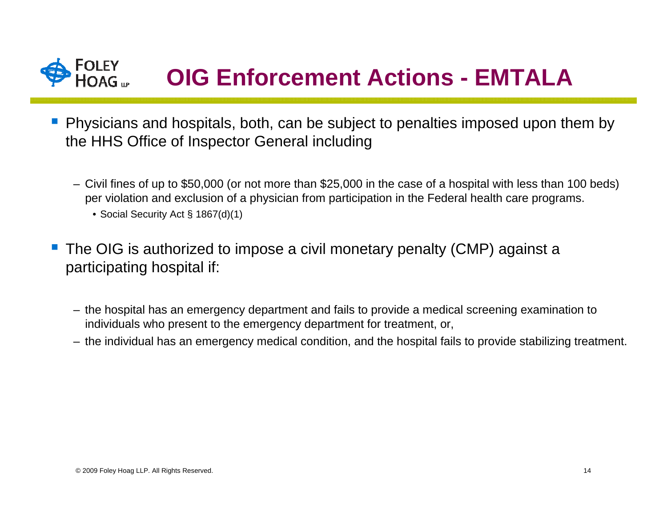# **OIG Enforcement Actions - EMTALA**

- **Physicians and hospitals, both, can be subject to penalties imposed upon them by** the HHS Office of Inspector General including
	- Civil fines of up to \$50,000 (or not more than \$25,000 in the case of a hospital with less than 100 beds) per violation and exclusion of a physician from participation in the Federal health care programs.
		- Social Security Act § 1867(d)(1)
- The OIG is authorized to impose a civil monetary penalty (CMP) against a participating hospital if:
	- the hospital has an emergency department and fails to provide a medical screening examination to individuals who present to the emergency department for treatment, or,
	- the individual has an emergency medical condition, and the hospital fails to provide stabilizing treatment.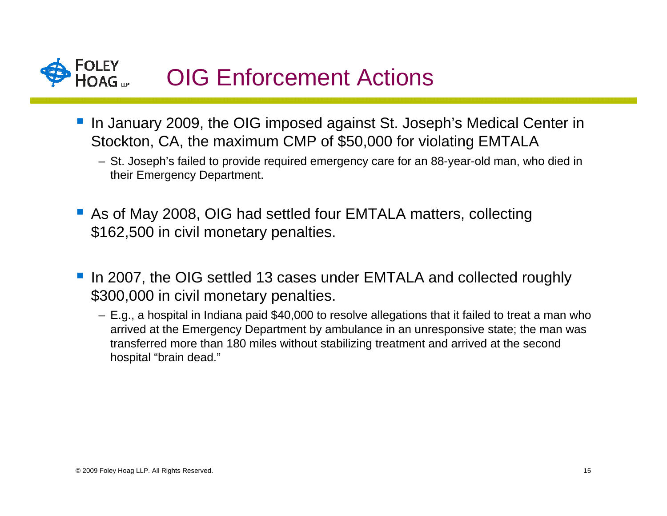

- In January 2009, the OIG imposed against St. Joseph's Medical Center in Stockton, CA, the maximum CMP of \$50,000 for violating EMTALA
	- St. Joseph's failed to provide required emergency care for an 88-year-old man, who died in their Emergency Department.
- As of May 2008, OIG had settled four EMTALA matters, collecting \$162,500 in civil monetary penalties.
- In 2007, the OIG settled 13 cases under EMTALA and collected roughly \$300,000 in civil monetary penalties.
	- E.g., a hospital in Indiana paid \$40,000 to resolve allegations that it failed to treat a man who arrived at the Emergency Department by ambulance in an unresponsive state; the man was transferred more than 180 miles without stabilizing treatment and arrived at the second hospital "brain dead."